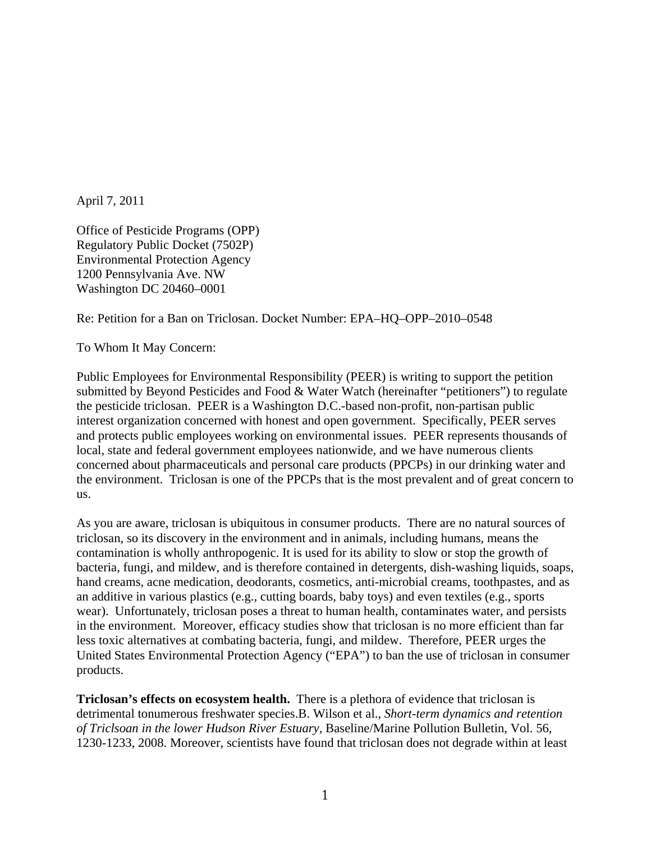April 7, 2011

Office of Pesticide Programs (OPP) Regulatory Public Docket (7502P) Environmental Protection Agency 1200 Pennsylvania Ave. NW Washington DC 20460–0001

Re: Petition for a Ban on Triclosan. Docket Number: EPA–HQ–OPP–2010–0548

To Whom It May Concern:

Public Employees for Environmental Responsibility (PEER) is writing to support the petition submitted by Beyond Pesticides and Food & Water Watch (hereinafter "petitioners") to regulate the pesticide triclosan. PEER is a Washington D.C.-based non-profit, non-partisan public interest organization concerned with honest and open government. Specifically, PEER serves and protects public employees working on environmental issues. PEER represents thousands of local, state and federal government employees nationwide, and we have numerous clients concerned about pharmaceuticals and personal care products (PPCPs) in our drinking water and the environment. Triclosan is one of the PPCPs that is the most prevalent and of great concern to us.

As you are aware, triclosan is ubiquitous in consumer products. There are no natural sources of triclosan, so its discovery in the environment and in animals, including humans, means the contamination is wholly anthropogenic. It is used for its ability to slow or stop the growth of bacteria, fungi, and mildew, and is therefore contained in detergents, dish-washing liquids, soaps, hand creams, acne medication, deodorants, cosmetics, anti-microbial creams, toothpastes, and as an additive in various plastics (e.g., cutting boards, baby toys) and even textiles (e.g., sports wear). Unfortunately, triclosan poses a threat to human health, contaminates water, and persists in the environment. Moreover, efficacy studies show that triclosan is no more efficient than far less toxic alternatives at combating bacteria, fungi, and mildew. Therefore, PEER urges the United States Environmental Protection Agency ("EPA") to ban the use of triclosan in consumer products.

**Triclosan's effects on ecosystem health.** There is a plethora of evidence that triclosan is detrimental tonumerous freshwater species.B. Wilson et al., *Short-term dynamics and retention of Triclsoan in the lower Hudson River Estuary,* Baseline/Marine Pollution Bulletin, Vol. 56, 1230-1233, 2008. Moreover, scientists have found that triclosan does not degrade within at least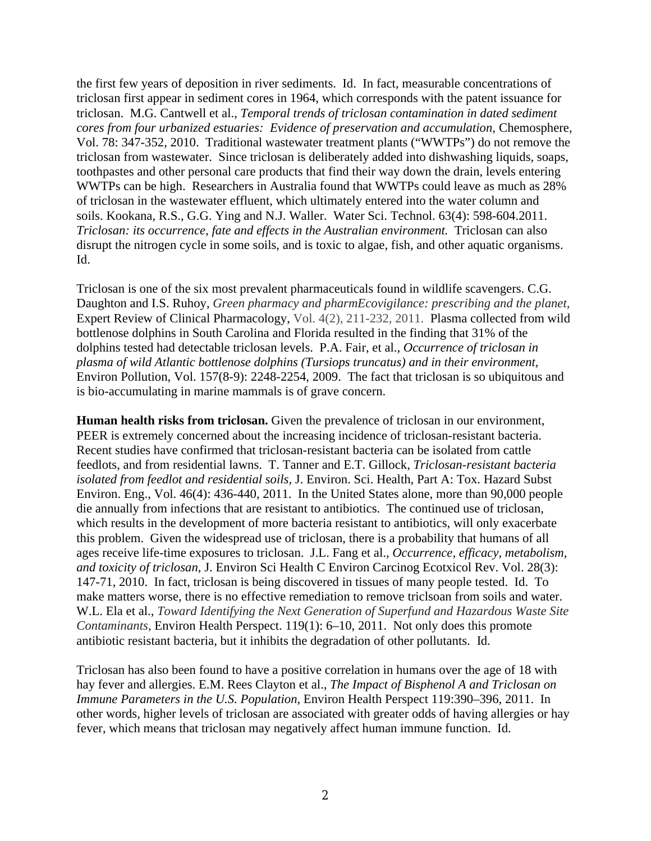the first few years of deposition in river sediments. Id. In fact, measurable concentrations of triclosan first appear in sediment cores in 1964, which corresponds with the patent issuance for triclosan. M.G. Cantwell et al., *Temporal trends of triclosan contamination in dated sediment cores from four urbanized estuaries: Evidence of preservation and accumulation,* Chemosphere, Vol. 78: 347-352, 2010. Traditional wastewater treatment plants ("WWTPs") do not remove the triclosan from wastewater. Since triclosan is deliberately added into dishwashing liquids, soaps, toothpastes and other personal care products that find their way down the drain, levels entering WWTPs can be high. Researchers in Australia found that WWTPs could leave as much as 28% of triclosan in the wastewater effluent, which ultimately entered into the water column and soils. Kookana, R.S., G.G. Ying and N.J. Waller. Water Sci. Technol. 63(4): 598-604.2011. *Triclosan: its occurrence, fate and effects in the Australian environment.* Triclosan can also disrupt the nitrogen cycle in some soils, and is toxic to algae, fish, and other aquatic organisms. Id.

Triclosan is one of the six most prevalent pharmaceuticals found in wildlife scavengers. C.G. Daughton and I.S. Ruhoy, *Green pharmacy and pharmEcovigilance: prescribing and the planet,*  Expert Review of Clinical Pharmacology, Vol. 4(2), 211-232, 2011. Plasma collected from wild bottlenose dolphins in South Carolina and Florida resulted in the finding that 31% of the dolphins tested had detectable triclosan levels. P.A. Fair, et al., *Occurrence of triclosan in plasma of wild Atlantic bottlenose dolphins (Tursiops truncatus) and in their environment,* Environ Pollution, Vol. 157(8-9): 2248-2254, 2009. The fact that triclosan is so ubiquitous and is bio-accumulating in marine mammals is of grave concern.

**Human health risks from triclosan.** Given the prevalence of triclosan in our environment, PEER is extremely concerned about the increasing incidence of triclosan-resistant bacteria. Recent studies have confirmed that triclosan-resistant bacteria can be isolated from cattle feedlots, and from residential lawns. T. Tanner and E.T. Gillock, *Triclosan-resistant bacteria isolated from feedlot and residential soils,* J. Environ. Sci. Health, Part A: Tox. Hazard Subst Environ. Eng., Vol. 46(4): 436-440, 2011. In the United States alone, more than 90,000 people die annually from infections that are resistant to antibiotics. The continued use of triclosan, which results in the development of more bacteria resistant to antibiotics, will only exacerbate this problem. Given the widespread use of triclosan, there is a probability that humans of all ages receive life-time exposures to triclosan. J.L. Fang et al., *Occurrence, efficacy, metabolism, and toxicity of triclosan*, J. Environ Sci Health C Environ Carcinog Ecotxicol Rev. Vol. 28(3): 147-71, 2010. In fact, triclosan is being discovered in tissues of many people tested. Id. To make matters worse, there is no effective remediation to remove triclsoan from soils and water. W.L. Ela et al., *Toward Identifying the Next Generation of Superfund and Hazardous Waste Site Contaminants*, Environ Health Perspect. 119(1): 6–10, 2011. Not only does this promote antibiotic resistant bacteria, but it inhibits the degradation of other pollutants. Id.

Triclosan has also been found to have a positive correlation in humans over the age of 18 with hay fever and allergies. E.M. Rees Clayton et al., *The Impact of Bisphenol A and Triclosan on Immune Parameters in the U.S. Population*, Environ Health Perspect 119:390–396, 2011. In other words, higher levels of triclosan are associated with greater odds of having allergies or hay fever, which means that triclosan may negatively affect human immune function. Id.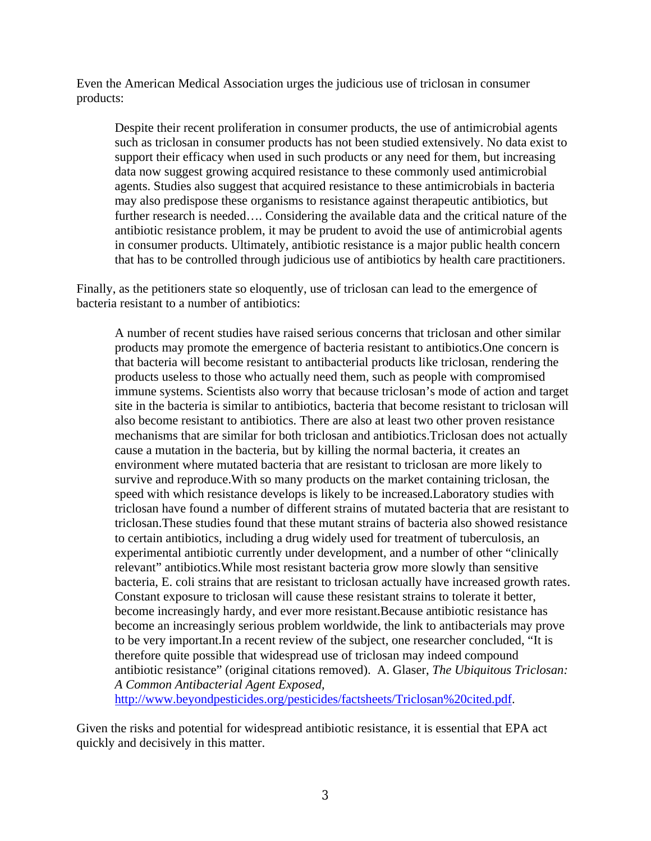Even the American Medical Association urges the judicious use of triclosan in consumer products:

Despite their recent proliferation in consumer products, the use of antimicrobial agents such as triclosan in consumer products has not been studied extensively. No data exist to support their efficacy when used in such products or any need for them, but increasing data now suggest growing acquired resistance to these commonly used antimicrobial agents. Studies also suggest that acquired resistance to these antimicrobials in bacteria may also predispose these organisms to resistance against therapeutic antibiotics, but further research is needed…. Considering the available data and the critical nature of the antibiotic resistance problem, it may be prudent to avoid the use of antimicrobial agents in consumer products. Ultimately, antibiotic resistance is a major public health concern that has to be controlled through judicious use of antibiotics by health care practitioners.

Finally, as the petitioners state so eloquently, use of triclosan can lead to the emergence of bacteria resistant to a number of antibiotics:

A number of recent studies have raised serious concerns that triclosan and other similar products may promote the emergence of bacteria resistant to antibiotics.One concern is that bacteria will become resistant to antibacterial products like triclosan, rendering the products useless to those who actually need them, such as people with compromised immune systems. Scientists also worry that because triclosan's mode of action and target site in the bacteria is similar to antibiotics, bacteria that become resistant to triclosan will also become resistant to antibiotics. There are also at least two other proven resistance mechanisms that are similar for both triclosan and antibiotics.Triclosan does not actually cause a mutation in the bacteria, but by killing the normal bacteria, it creates an environment where mutated bacteria that are resistant to triclosan are more likely to survive and reproduce.With so many products on the market containing triclosan, the speed with which resistance develops is likely to be increased.Laboratory studies with triclosan have found a number of different strains of mutated bacteria that are resistant to triclosan.These studies found that these mutant strains of bacteria also showed resistance to certain antibiotics, including a drug widely used for treatment of tuberculosis, an experimental antibiotic currently under development, and a number of other "clinically relevant" antibiotics.While most resistant bacteria grow more slowly than sensitive bacteria, E. coli strains that are resistant to triclosan actually have increased growth rates. Constant exposure to triclosan will cause these resistant strains to tolerate it better, become increasingly hardy, and ever more resistant.Because antibiotic resistance has become an increasingly serious problem worldwide, the link to antibacterials may prove to be very important.In a recent review of the subject, one researcher concluded, "It is therefore quite possible that widespread use of triclosan may indeed compound antibiotic resistance" (original citations removed). A. Glaser, *The Ubiquitous Triclosan: A Common Antibacterial Agent Exposed,* 

http://www.beyondpesticides.org/pesticides/factsheets/Triclosan%20cited.pdf.

Given the risks and potential for widespread antibiotic resistance, it is essential that EPA act quickly and decisively in this matter.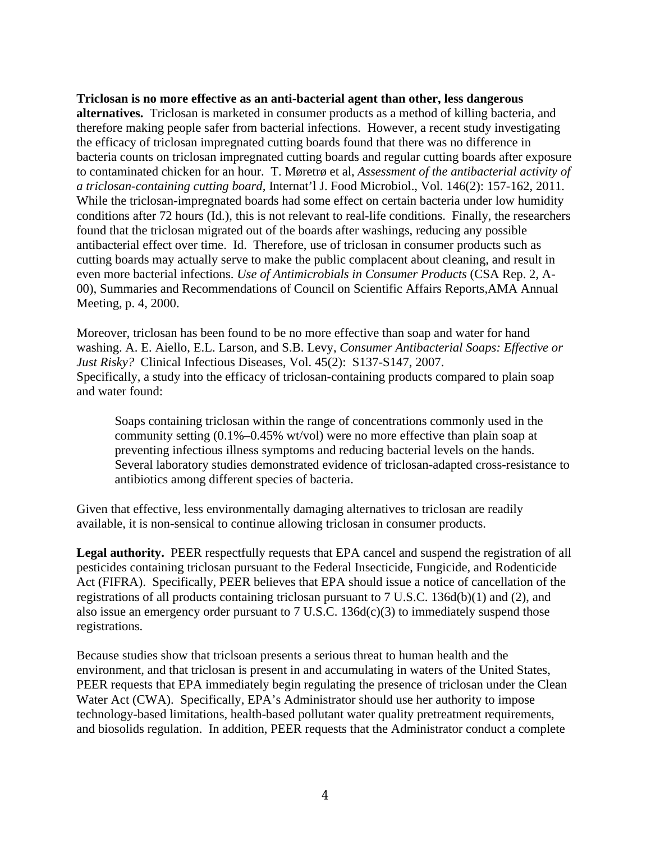**Triclosan is no more effective as an anti-bacterial agent than other, less dangerous alternatives.** Triclosan is marketed in consumer products as a method of killing bacteria, and therefore making people safer from bacterial infections. However, a recent study investigating the efficacy of triclosan impregnated cutting boards found that there was no difference in bacteria counts on triclosan impregnated cutting boards and regular cutting boards after exposure to contaminated chicken for an hour. T. Møretrø et al, *Assessment of the antibacterial activity of a triclosan-containing cutting board,* Internat'l J. Food Microbiol., Vol. 146(2): 157-162, 2011. While the triclosan-impregnated boards had some effect on certain bacteria under low humidity conditions after 72 hours (Id.), this is not relevant to real-life conditions. Finally, the researchers found that the triclosan migrated out of the boards after washings, reducing any possible antibacterial effect over time. Id. Therefore, use of triclosan in consumer products such as cutting boards may actually serve to make the public complacent about cleaning, and result in even more bacterial infections. *Use of Antimicrobials in Consumer Products* (CSA Rep. 2, A-00), Summaries and Recommendations of Council on Scientific Affairs Reports,AMA Annual Meeting, p. 4, 2000.

Moreover, triclosan has been found to be no more effective than soap and water for hand washing. A. E. Aiello, E.L. Larson, and S.B. Levy, *Consumer Antibacterial Soaps: Effective or Just Risky?* Clinical Infectious Diseases, Vol. 45(2): S137-S147, 2007. Specifically, a study into the efficacy of triclosan-containing products compared to plain soap and water found:

Soaps containing triclosan within the range of concentrations commonly used in the community setting (0.1%–0.45% wt/vol) were no more effective than plain soap at preventing infectious illness symptoms and reducing bacterial levels on the hands. Several laboratory studies demonstrated evidence of triclosan-adapted cross-resistance to antibiotics among different species of bacteria.

Given that effective, less environmentally damaging alternatives to triclosan are readily available, it is non-sensical to continue allowing triclosan in consumer products.

**Legal authority.** PEER respectfully requests that EPA cancel and suspend the registration of all pesticides containing triclosan pursuant to the Federal Insecticide, Fungicide, and Rodenticide Act (FIFRA). Specifically, PEER believes that EPA should issue a notice of cancellation of the registrations of all products containing triclosan pursuant to 7 U.S.C. 136d(b)(1) and (2), and also issue an emergency order pursuant to  $7 \text{ U.S.C. } 136d(c)(3)$  to immediately suspend those registrations.

Because studies show that triclsoan presents a serious threat to human health and the environment, and that triclosan is present in and accumulating in waters of the United States, PEER requests that EPA immediately begin regulating the presence of triclosan under the Clean Water Act (CWA). Specifically, EPA's Administrator should use her authority to impose technology-based limitations, health-based pollutant water quality pretreatment requirements, and biosolids regulation. In addition, PEER requests that the Administrator conduct a complete